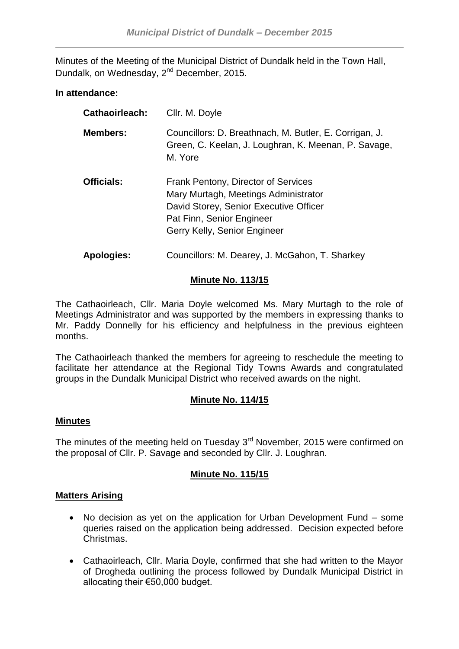Minutes of the Meeting of the Municipal District of Dundalk held in the Town Hall, Dundalk, on Wednesday, 2<sup>nd</sup> December, 2015.

## **In attendance:**

| Cathaoirleach:    | Cllr. M. Doyle                                                                                                                                                                     |
|-------------------|------------------------------------------------------------------------------------------------------------------------------------------------------------------------------------|
| <b>Members:</b>   | Councillors: D. Breathnach, M. Butler, E. Corrigan, J.<br>Green, C. Keelan, J. Loughran, K. Meenan, P. Savage,<br>M. Yore                                                          |
| <b>Officials:</b> | Frank Pentony, Director of Services<br>Mary Murtagh, Meetings Administrator<br>David Storey, Senior Executive Officer<br>Pat Finn, Senior Engineer<br>Gerry Kelly, Senior Engineer |
| <b>Apologies:</b> | Councillors: M. Dearey, J. McGahon, T. Sharkey                                                                                                                                     |

## **Minute No. 113/15**

The Cathaoirleach, Cllr. Maria Doyle welcomed Ms. Mary Murtagh to the role of Meetings Administrator and was supported by the members in expressing thanks to Mr. Paddy Donnelly for his efficiency and helpfulness in the previous eighteen months.

The Cathaoirleach thanked the members for agreeing to reschedule the meeting to facilitate her attendance at the Regional Tidy Towns Awards and congratulated groups in the Dundalk Municipal District who received awards on the night.

# **Minute No. 114/15**

## **Minutes**

The minutes of the meeting held on Tuesday  $3<sup>rd</sup>$  November, 2015 were confirmed on the proposal of Cllr. P. Savage and seconded by Cllr. J. Loughran.

## **Minute No. 115/15**

## **Matters Arising**

- No decision as yet on the application for Urban Development Fund some queries raised on the application being addressed. Decision expected before Christmas.
- Cathaoirleach, Cllr. Maria Doyle, confirmed that she had written to the Mayor of Drogheda outlining the process followed by Dundalk Municipal District in allocating their €50,000 budget.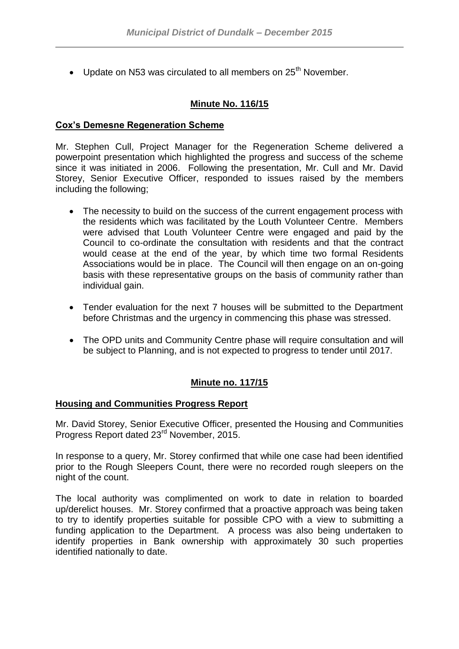• Update on N53 was circulated to all members on 25<sup>th</sup> November.

## **Minute No. 116/15**

## **Cox's Demesne Regeneration Scheme**

Mr. Stephen Cull, Project Manager for the Regeneration Scheme delivered a powerpoint presentation which highlighted the progress and success of the scheme since it was initiated in 2006. Following the presentation, Mr. Cull and Mr. David Storey, Senior Executive Officer, responded to issues raised by the members including the following;

- The necessity to build on the success of the current engagement process with the residents which was facilitated by the Louth Volunteer Centre. Members were advised that Louth Volunteer Centre were engaged and paid by the Council to co-ordinate the consultation with residents and that the contract would cease at the end of the year, by which time two formal Residents Associations would be in place. The Council will then engage on an on-going basis with these representative groups on the basis of community rather than individual gain.
- Tender evaluation for the next 7 houses will be submitted to the Department before Christmas and the urgency in commencing this phase was stressed.
- The OPD units and Community Centre phase will require consultation and will be subject to Planning, and is not expected to progress to tender until 2017.

## **Minute no. 117/15**

#### **Housing and Communities Progress Report**

Mr. David Storey, Senior Executive Officer, presented the Housing and Communities Progress Report dated 23rd November, 2015.

In response to a query, Mr. Storey confirmed that while one case had been identified prior to the Rough Sleepers Count, there were no recorded rough sleepers on the night of the count.

The local authority was complimented on work to date in relation to boarded up/derelict houses. Mr. Storey confirmed that a proactive approach was being taken to try to identify properties suitable for possible CPO with a view to submitting a funding application to the Department. A process was also being undertaken to identify properties in Bank ownership with approximately 30 such properties identified nationally to date.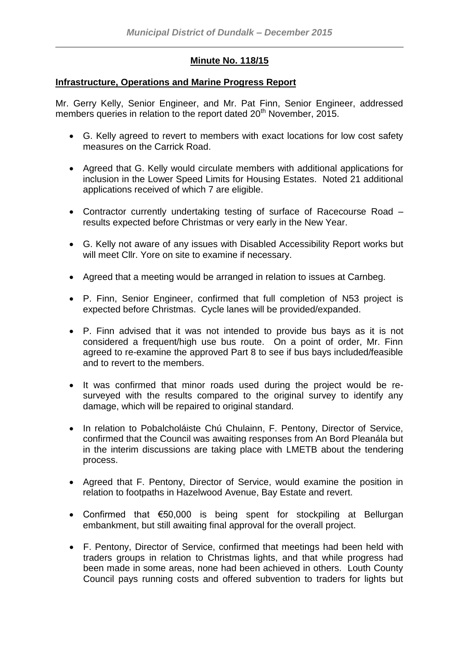# **Minute No. 118/15**

## **Infrastructure, Operations and Marine Progress Report**

Mr. Gerry Kelly, Senior Engineer, and Mr. Pat Finn, Senior Engineer, addressed members queries in relation to the report dated 20<sup>th</sup> November, 2015.

- G. Kelly agreed to revert to members with exact locations for low cost safety measures on the Carrick Road.
- Agreed that G. Kelly would circulate members with additional applications for inclusion in the Lower Speed Limits for Housing Estates. Noted 21 additional applications received of which 7 are eligible.
- Contractor currently undertaking testing of surface of Racecourse Road results expected before Christmas or very early in the New Year.
- G. Kelly not aware of any issues with Disabled Accessibility Report works but will meet Cllr. Yore on site to examine if necessary.
- Agreed that a meeting would be arranged in relation to issues at Carnbeg.
- P. Finn, Senior Engineer, confirmed that full completion of N53 project is expected before Christmas. Cycle lanes will be provided/expanded.
- P. Finn advised that it was not intended to provide bus bays as it is not considered a frequent/high use bus route. On a point of order, Mr. Finn agreed to re-examine the approved Part 8 to see if bus bays included/feasible and to revert to the members.
- It was confirmed that minor roads used during the project would be resurveyed with the results compared to the original survey to identify any damage, which will be repaired to original standard.
- In relation to Pobalcholáiste Chú Chulainn, F. Pentony, Director of Service, confirmed that the Council was awaiting responses from An Bord Pleanála but in the interim discussions are taking place with LMETB about the tendering process.
- Agreed that F. Pentony, Director of Service, would examine the position in relation to footpaths in Hazelwood Avenue, Bay Estate and revert.
- Confirmed that €50,000 is being spent for stockpiling at Bellurgan embankment, but still awaiting final approval for the overall project.
- F. Pentony, Director of Service, confirmed that meetings had been held with traders groups in relation to Christmas lights, and that while progress had been made in some areas, none had been achieved in others. Louth County Council pays running costs and offered subvention to traders for lights but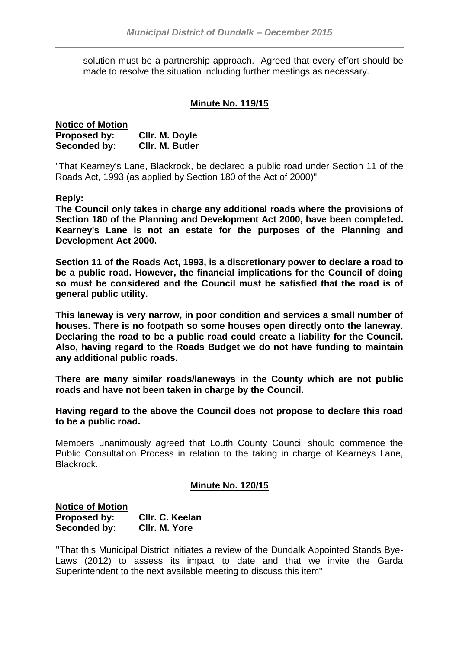solution must be a partnership approach. Agreed that every effort should be made to resolve the situation including further meetings as necessary.

## **Minute No. 119/15**

| <b>Notice of Motion</b> |                 |
|-------------------------|-----------------|
| Proposed by:            | Cllr. M. Doyle  |
| Seconded by:            | CIIr. M. Butler |

"That Kearney's Lane, Blackrock, be declared a public road under Section 11 of the Roads Act, 1993 (as applied by Section 180 of the Act of 2000)"

**Reply:**

**The Council only takes in charge any additional roads where the provisions of Section 180 of the Planning and Development Act 2000, have been completed. Kearney's Lane is not an estate for the purposes of the Planning and Development Act 2000.**

**Section 11 of the Roads Act, 1993, is a discretionary power to declare a road to be a public road. However, the financial implications for the Council of doing so must be considered and the Council must be satisfied that the road is of general public utility.**

**This laneway is very narrow, in poor condition and services a small number of houses. There is no footpath so some houses open directly onto the laneway. Declaring the road to be a public road could create a liability for the Council. Also, having regard to the Roads Budget we do not have funding to maintain any additional public roads.**

**There are many similar roads/laneways in the County which are not public roads and have not been taken in charge by the Council.**

**Having regard to the above the Council does not propose to declare this road to be a public road.**

Members unanimously agreed that Louth County Council should commence the Public Consultation Process in relation to the taking in charge of Kearneys Lane, Blackrock.

## **Minute No. 120/15**

| <b>Notice of Motion</b> |                 |
|-------------------------|-----------------|
| Proposed by:            | Cllr. C. Keelan |
| Seconded by:            | CIIr. M. Yore   |

"That this Municipal District initiates a review of the Dundalk Appointed Stands Bye-Laws (2012) to assess its impact to date and that we invite the Garda Superintendent to the next available meeting to discuss this item"